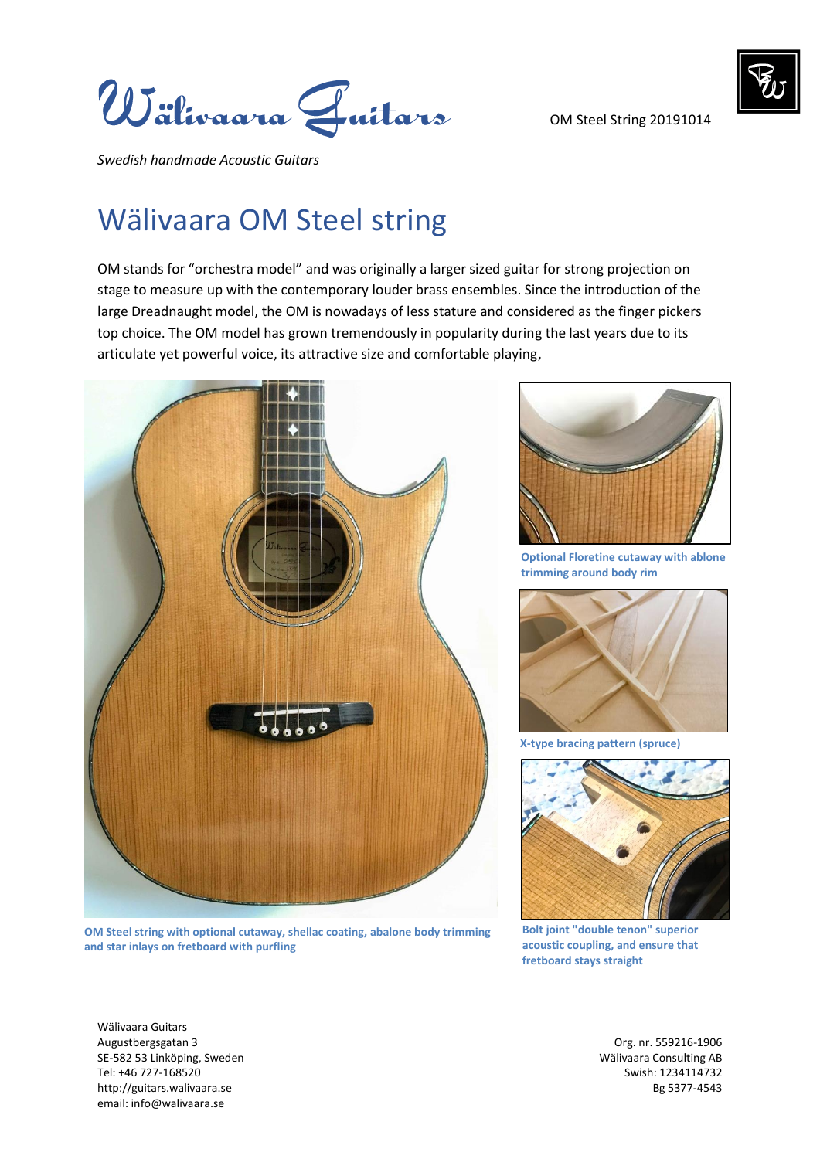

OM Steel String 20191014



*Swedish handmade Acoustic Guitars* 

## Wälivaara OM Steel string

OM stands for "orchestra model" and was originally a larger sized guitar for strong projection on stage to measure up with the contemporary louder brass ensembles. Since the introduction of the large Dreadnaught model, the OM is nowadays of less stature and considered as the finger pickers top choice. The OM model has grown tremendously in popularity during the last years due to its articulate yet powerful voice, its attractive size and comfortable playing,



**OM Steel string with optional cutaway, shellac coating, abalone body trimming and star inlays on fretboard with purfling**



**Optional Floretine cutaway with ablone trimming around body rim**



**X-type bracing pattern (spruce)**



**Bolt joint "double tenon" superior acoustic coupling, and ensure that fretboard stays straight**

Wälivaara Guitars Augustbergsgatan 3 Org. nr. 559216-1906 SE-582 53 Linköping, Sweden Wälivaara Consulting AB Tel: +46 727-168520 Swish: 1234114732 http://guitars.walivaara.se Bg 5377-4543 email: info@walivaara.se